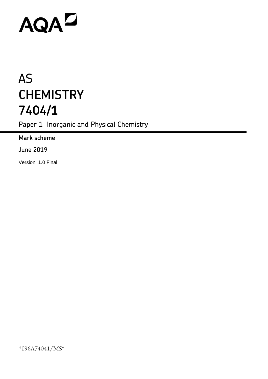# AQAZ

## AS **CHEMISTRY 7404/1**

Paper 1 Inorganic and Physical Chemistry

**Mark scheme**

June 2019

Version: 1.0 Final

\*196A74041/MS\*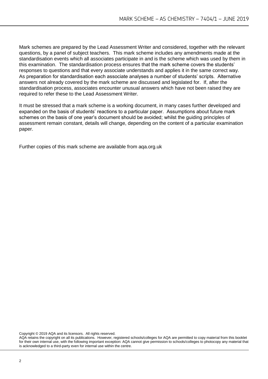Mark schemes are prepared by the Lead Assessment Writer and considered, together with the relevant questions, by a panel of subject teachers. This mark scheme includes any amendments made at the standardisation events which all associates participate in and is the scheme which was used by them in this examination. The standardisation process ensures that the mark scheme covers the students' responses to questions and that every associate understands and applies it in the same correct way. As preparation for standardisation each associate analyses a number of students' scripts. Alternative answers not already covered by the mark scheme are discussed and legislated for. If, after the standardisation process, associates encounter unusual answers which have not been raised they are required to refer these to the Lead Assessment Writer.

It must be stressed that a mark scheme is a working document, in many cases further developed and expanded on the basis of students' reactions to a particular paper. Assumptions about future mark schemes on the basis of one year's document should be avoided; whilst the guiding principles of assessment remain constant, details will change, depending on the content of a particular examination paper.

Further copies of this mark scheme are available from aqa.org.uk

Copyright © 2019 AQA and its licensors. All rights reserved.

AQA retains the copyright on all its publications. However, registered schools/colleges for AQA are permitted to copy material from this booklet for their own internal use, with the following important exception: AQA cannot give permission to schools/colleges to photocopy any material that is acknowledged to a third-party even for internal use within the centre.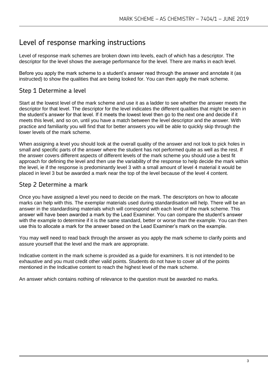### Level of response marking instructions

Level of response mark schemes are broken down into levels, each of which has a descriptor. The descriptor for the level shows the average performance for the level. There are marks in each level.

Before you apply the mark scheme to a student's answer read through the answer and annotate it (as instructed) to show the qualities that are being looked for. You can then apply the mark scheme.

#### Step 1 Determine a level

Start at the lowest level of the mark scheme and use it as a ladder to see whether the answer meets the descriptor for that level. The descriptor for the level indicates the different qualities that might be seen in the student's answer for that level. If it meets the lowest level then go to the next one and decide if it meets this level, and so on, until you have a match between the level descriptor and the answer. With practice and familiarity you will find that for better answers you will be able to quickly skip through the lower levels of the mark scheme.

When assigning a level you should look at the overall quality of the answer and not look to pick holes in small and specific parts of the answer where the student has not performed quite as well as the rest. If the answer covers different aspects of different levels of the mark scheme you should use a best fit approach for defining the level and then use the variability of the response to help decide the mark within the level, ie if the response is predominantly level 3 with a small amount of level 4 material it would be placed in level 3 but be awarded a mark near the top of the level because of the level 4 content.

#### Step 2 Determine a mark

Once you have assigned a level you need to decide on the mark. The descriptors on how to allocate marks can help with this. The exemplar materials used during standardisation will help. There will be an answer in the standardising materials which will correspond with each level of the mark scheme. This answer will have been awarded a mark by the Lead Examiner. You can compare the student's answer with the example to determine if it is the same standard, better or worse than the example. You can then use this to allocate a mark for the answer based on the Lead Examiner's mark on the example.

You may well need to read back through the answer as you apply the mark scheme to clarify points and assure yourself that the level and the mark are appropriate.

Indicative content in the mark scheme is provided as a guide for examiners. It is not intended to be exhaustive and you must credit other valid points. Students do not have to cover all of the points mentioned in the Indicative content to reach the highest level of the mark scheme.

An answer which contains nothing of relevance to the question must be awarded no marks.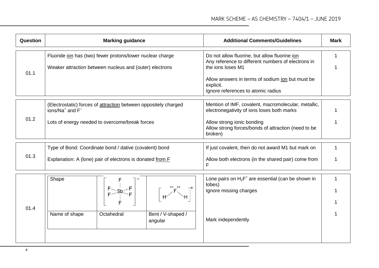| Question |                                                                                                                      | <b>Marking guidance</b> |                                                                                                                                                                              | <b>Additional Comments/Guidelines</b>                                                             | <b>Mark</b> |
|----------|----------------------------------------------------------------------------------------------------------------------|-------------------------|------------------------------------------------------------------------------------------------------------------------------------------------------------------------------|---------------------------------------------------------------------------------------------------|-------------|
| 01.1     | Fluoride ion has (two) fewer protons/lower nuclear charge<br>Weaker attraction between nucleus and (outer) electrons |                         | Do not allow fluorine, but allow fluorine ion<br>Any reference to different numbers of electrons in<br>the ions loses M1<br>Allow answers in terms of sodium jon but must be | 1                                                                                                 |             |
|          |                                                                                                                      |                         |                                                                                                                                                                              | explicit.<br>Ignore references to atomic radius                                                   |             |
|          | (Electrostatic) forces of attraction between oppositely charged<br>ions/Na <sup>+</sup> and F <sup>-</sup>           |                         |                                                                                                                                                                              | Mention of IMF, covalent, macromolecular, metallic,<br>electronegativity of ions loses both marks |             |
| 01.2     | Lots of energy needed to overcome/break forces                                                                       |                         |                                                                                                                                                                              | Allow strong ionic bonding<br>Allow strong forces/bonds of attraction (need to be<br>broken)      |             |
|          | Type of Bond: Coordinate bond / dative (covalent) bond                                                               |                         |                                                                                                                                                                              | If just covalent, then do not award M1 but mark on                                                |             |
| 01.3     | Explanation: A (lone) pair of electrons is donated from F                                                            |                         |                                                                                                                                                                              | Allow both electrons (in the shared pair) come from<br>F                                          |             |
|          | Shape                                                                                                                |                         |                                                                                                                                                                              | Lone pairs on $H_2F^+$ are essential (can be shown in<br>lobes)                                   |             |
|          |                                                                                                                      |                         |                                                                                                                                                                              | Ignore missing charges                                                                            |             |
| 01.4     |                                                                                                                      |                         |                                                                                                                                                                              |                                                                                                   |             |
|          | Name of shape                                                                                                        | Octahedral              | Bent / V-shaped /<br>angular                                                                                                                                                 | Mark independently                                                                                |             |
|          |                                                                                                                      |                         |                                                                                                                                                                              |                                                                                                   |             |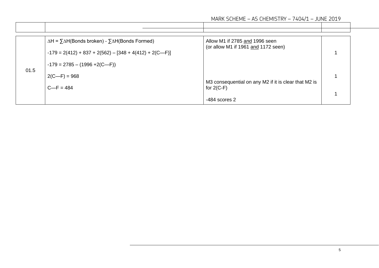|      | $\Delta H = \sum \Delta H(Bonds broken) - \sum \Delta H(Bonds Formed)$<br>$-179 = 2(412) + 837 + 2(562) - [348 + 4(412) + 2(C-F)]$ | Allow M1 if 2785 and 1996 seen<br>(or allow M1 if 1961 and 1172 seen) |  |
|------|------------------------------------------------------------------------------------------------------------------------------------|-----------------------------------------------------------------------|--|
| 01.5 | $-179 = 2785 - (1996 + 2(C-F))$                                                                                                    |                                                                       |  |
|      | $2(C-F) = 968$                                                                                                                     | M3 consequential on any M2 if it is clear that M2 is                  |  |
|      | $C-F = 484$                                                                                                                        | for $2(C-F)$                                                          |  |
|      |                                                                                                                                    | $-484$ scores 2                                                       |  |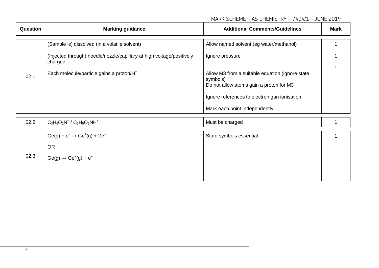#### MARK SCHEME – AS CHEMISTRY – 7404/1 – JUNE 2019

| Question | <b>Marking guidance</b>                                                                    | <b>Additional Comments/Guidelines</b>                                                                                                                                                    | <b>Mark</b> |
|----------|--------------------------------------------------------------------------------------------|------------------------------------------------------------------------------------------------------------------------------------------------------------------------------------------|-------------|
|          | (Sample is) dissolved (in a volatile solvent)                                              | Allow named solvent (eg water/methanol)                                                                                                                                                  |             |
|          | (Injected through) needle/nozzle/capillary at high voltage/positively<br>charged           | Ignore pressure                                                                                                                                                                          |             |
| 02.1     | Each molecule/particle gains a proton/H <sup>+</sup>                                       | Allow M3 from a suitable equation (ignore state)<br>symbols)<br>Do not allow atoms gain a proton for M3<br>Ignore references to electron gun ionisation<br>Mark each point independently |             |
| 02.2     | $C_3H_6O_2N^+$ / $C_3H_5O_2NH^+$                                                           | Must be charged                                                                                                                                                                          |             |
| 02.3     | $Ge(g) + e^- \rightarrow Ge^+(g) + 2e^-$<br><b>OR</b><br>$Ge(g) \rightarrow Ge^+(g) + e^-$ | State symbols essential                                                                                                                                                                  |             |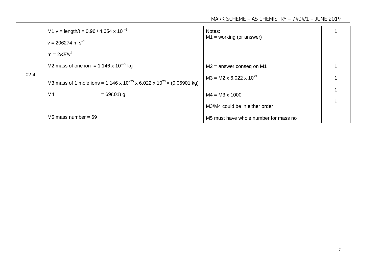MARK SCHEME – AS CHEMISTRY – 7404/1 – JUNE 2019

|      | M1 v = length/t = 0.96 / 4.654 x 10 $^{-6}$                                                         | Notes:                                |  |
|------|-----------------------------------------------------------------------------------------------------|---------------------------------------|--|
|      | $v = 206274$ m s <sup>-1</sup>                                                                      | $M1 = working (or answer)$            |  |
|      | $m = 2KE/v^2$                                                                                       |                                       |  |
|      | M2 mass of one ion = $1.146 \times 10^{-25}$ kg                                                     | $M2$ = answer conseq on M1            |  |
| 02.4 | M3 mass of 1 mole ions = $1.146 \times 10^{-25} \times 6.022 \times 10^{23} = (0.06901 \text{ kg})$ | $M3 = M2 \times 6.022 \times 10^{23}$ |  |
|      | M4<br>$= 69(.01)$ g                                                                                 | $M4 = M3 \times 1000$                 |  |
|      |                                                                                                     | M3/M4 could be in either order        |  |
|      | M5 mass number = $69$                                                                               | M5 must have whole number for mass no |  |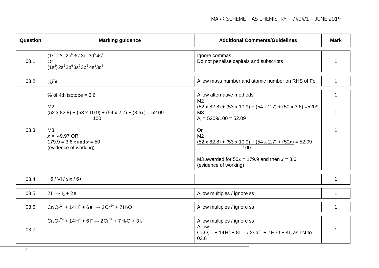| Question | <b>Marking guidance</b>                                                                                                                                                                                            | <b>Additional Comments/Guidelines</b>                                                                                                                                                                                                                                                                                                                               | <b>Mark</b> |
|----------|--------------------------------------------------------------------------------------------------------------------------------------------------------------------------------------------------------------------|---------------------------------------------------------------------------------------------------------------------------------------------------------------------------------------------------------------------------------------------------------------------------------------------------------------------------------------------------------------------|-------------|
| 03.1     | $(1s2) 2s2 2p6 3s2 3p6 3d5 4s1$<br>Or<br>$(1s2) 2s2 2p6 3s2 3p6 4s1 3d5$                                                                                                                                           | Ignore commas<br>Do not penalise capitals and subscripts                                                                                                                                                                                                                                                                                                            | 1           |
| 03.2     | $^{57}_{26}Fe$                                                                                                                                                                                                     | Allow mass number and atomic number on RHS of Fe                                                                                                                                                                                                                                                                                                                    | 1           |
| 03.3     | % of 4th isotope = $3.6$<br>$M2$ :<br>$(52 \times 82.8) + (53 \times 10.9) + (54 \times 2.7) + (3.6x) = 52.09$<br>100<br>$M3$ :<br>$x = 49.97 \text{ OR}$<br>$179.9 = 3.6 x$ and $x = 50$<br>(evidence of working) | Allow alternative methods<br>M <sub>2</sub><br>$(52 \times 82.8) + (53 \times 10.9) + (54 \times 2.7) + (50 \times 3.6) = 5209$<br>M <sub>3</sub><br>$A_r = 5209/100 = 52.09$<br>Or<br>M <sub>2</sub><br>$(52 \times 82.8) + (53 \times 10.9) + (54 \times 2.7) + (50x) = 52.09$<br>100<br>M3 awarded for $50x = 179.9$ and then $x = 3.6$<br>(evidence of working) | $\mathbf 1$ |
| 03.4     | $+6$ / VI / six / 6+                                                                                                                                                                                               |                                                                                                                                                                                                                                                                                                                                                                     | 1           |
| 03.5     | $21^{-} \rightarrow I_{2} + 2e^{-}$                                                                                                                                                                                | Allow multiples / ignore ss                                                                                                                                                                                                                                                                                                                                         | 1           |
| 03.6     | $Cr_2O_7^{2-}$ + 14H <sup>+</sup> + 6e <sup>-</sup> $\rightarrow$ 2Cr <sup>3+</sup> + 7H <sub>2</sub> O                                                                                                            | Allow multiples / ignore ss                                                                                                                                                                                                                                                                                                                                         | 1           |
| 03.7     | $Cr_2O_7^{2-}$ + 14H <sup>+</sup> + 6I <sup>-</sup> $\rightarrow$ 2Cr <sup>3+</sup> + 7H <sub>2</sub> O + 3I <sub>2</sub>                                                                                          | Allow multiples / ignore ss<br>Allow<br>$Cr_2O_7^{2-}$ + 14H <sup>+</sup> + 8l <sup>-</sup> $\rightarrow$ 2Cr <sup>2+</sup> + 7H <sub>2</sub> O + 4l <sub>2</sub> as ecf to<br>03.6                                                                                                                                                                                 |             |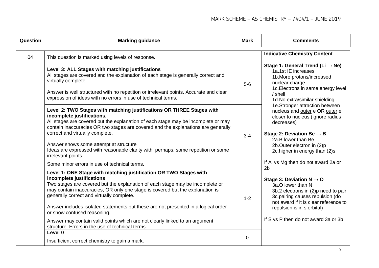| <b>Question</b> | <b>Marking guidance</b>                                                                                                                                                                                                                                                                                                                                                                                                                                                                                                                                               | <b>Mark</b> | <b>Comments</b>                                                                                                                                                                                                                                                                         |  |
|-----------------|-----------------------------------------------------------------------------------------------------------------------------------------------------------------------------------------------------------------------------------------------------------------------------------------------------------------------------------------------------------------------------------------------------------------------------------------------------------------------------------------------------------------------------------------------------------------------|-------------|-----------------------------------------------------------------------------------------------------------------------------------------------------------------------------------------------------------------------------------------------------------------------------------------|--|
| 04              | This question is marked using levels of response.                                                                                                                                                                                                                                                                                                                                                                                                                                                                                                                     |             | <b>Indicative Chemistry Content</b>                                                                                                                                                                                                                                                     |  |
|                 | Level 3: ALL Stages with matching justifications<br>All stages are covered and the explanation of each stage is generally correct and<br>virtually complete.<br>Answer is well structured with no repetition or irrelevant points. Accurate and clear<br>expression of ideas with no errors in use of technical terms.                                                                                                                                                                                                                                                | $5-6$       | Stage 1: General Trend (Li $\rightarrow$ Ne)<br>1a.1st IE increases<br>1b. More protons/increased<br>nuclear charge<br>1c. Electrons in same energy level<br>/ shell<br>1d. No extra/similar shielding                                                                                  |  |
|                 | Level 2: TWO Stages with matching justifications OR THREE Stages with<br>incomplete justifications.<br>All stages are covered but the explanation of each stage may be incomplete or may<br>contain inaccuracies OR two stages are covered and the explanations are generally<br>correct and virtually complete.<br>Answer shows some attempt at structure<br>Ideas are expressed with reasonable clarity with, perhaps, some repetition or some<br>irrelevant points.<br>Some minor errors in use of technical terms.                                                | $3 - 4$     | 1e.Stronger attraction between<br>nucleus and outer e OR outer e<br>closer to nucleus (ignore radius<br>decreases)<br>Stage 2: Deviation Be $\rightarrow$ B<br>2a.B lower than Be<br>2b.Outer electron in (2)p<br>2c. higher in energy than (2)s<br>If AI vs Mg then do not award 2a or |  |
|                 | Level 1: ONE Stage with matching justification OR TWO Stages with<br>incomplete justifications<br>Two stages are covered but the explanation of each stage may be incomplete or<br>may contain inaccuracies, OR only one stage is covered but the explanation is<br>generally correct and virtually complete.<br>Answer includes isolated statements but these are not presented in a logical order<br>or show confused reasoning.<br>Answer may contain valid points which are not clearly linked to an argument<br>structure. Errors in the use of technical terms. | $1 - 2$     | 2 <sub>b</sub><br>Stage 3: Deviation $N \rightarrow O$<br>3a.O lower than N<br>3b.2 electrons in (2)p need to pair<br>3c.pairing causes repulsion (do<br>not award if it is clear reference to<br>repulsion is in s orbital)<br>If S vs P then do not award 3a or 3b                    |  |
|                 | Level 0<br>Insufficient correct chemistry to gain a mark.                                                                                                                                                                                                                                                                                                                                                                                                                                                                                                             | 0           |                                                                                                                                                                                                                                                                                         |  |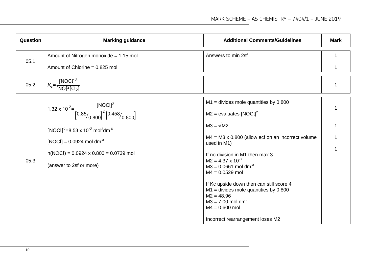| Question | <b>Marking guidance</b>                                                                                                                                                                                                                                                                                       | <b>Additional Comments/Guidelines</b>                                                                                                                                                                                                                                                                                                                                                                                                                 | <b>Mark</b> |
|----------|---------------------------------------------------------------------------------------------------------------------------------------------------------------------------------------------------------------------------------------------------------------------------------------------------------------|-------------------------------------------------------------------------------------------------------------------------------------------------------------------------------------------------------------------------------------------------------------------------------------------------------------------------------------------------------------------------------------------------------------------------------------------------------|-------------|
| 05.1     | Amount of Nitrogen monoxide = 1.15 mol<br>Amount of Chlorine = $0.825$ mol                                                                                                                                                                                                                                    | Answers to min 2sf                                                                                                                                                                                                                                                                                                                                                                                                                                    | 1           |
| 05.2     | $K_c = \frac{[NOCI]^2}{[NO]^2 [Cl_2]}$                                                                                                                                                                                                                                                                        |                                                                                                                                                                                                                                                                                                                                                                                                                                                       | 1           |
| 05.3     | 1.32 x 10 <sup>-2</sup> = $\frac{\text{[NOCI]}^2}{\left[0.85/0.800\right]^2 \left[0.458/0.800\right]}$<br>[NOCl] <sup>2</sup> =8.53 x 10 <sup>-3</sup> mol <sup>2</sup> dm <sup>-6</sup><br>[NOCl] = $0.0924$ mol dm <sup>-3</sup><br>$n(NOCl) = 0.0924 \times 0.800 = 0.0739$ mol<br>(answer to 2sf or more) | $M1$ = divides mole quantities by 0.800<br>$M2$ = evaluates [NOCl] <sup>2</sup><br>$M3 = \sqrt{M2}$<br>$MA = M3 \times 0.800$ (allow ecf on an incorrect volume<br>used in M1)<br>If no division in M1 then max 3<br>$M2 = 4.37 \times 10^{-3}$<br>$M3 = 0.0661$ mol dm <sup>-3</sup><br>$M4 = 0.0529$ mol<br>If Kc upside down then can still score 4<br>$M1$ = divides mole quantities by 0.800<br>$M2 = 48.96$<br>$M3 = 7.00$ mol dm <sup>-3</sup> |             |
|          |                                                                                                                                                                                                                                                                                                               | $M4 = 0.600$ mol<br>Incorrect rearrangement loses M2                                                                                                                                                                                                                                                                                                                                                                                                  |             |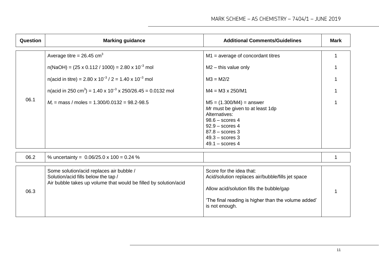| Question | <b>Marking guidance</b>                                                                                                                             | <b>Additional Comments/Guidelines</b>                                                                                                                                                              | <b>Mark</b> |
|----------|-----------------------------------------------------------------------------------------------------------------------------------------------------|----------------------------------------------------------------------------------------------------------------------------------------------------------------------------------------------------|-------------|
|          | Average titre = $26.45$ cm <sup>3</sup>                                                                                                             | $M1$ = average of concordant titres                                                                                                                                                                |             |
|          | $n(NaOH) = (25 \times 0.112 / 1000) = 2.80 \times 10^{-3}$ mol                                                                                      | $M2$ – this value only                                                                                                                                                                             |             |
|          | n(acid in titre) = 2.80 x $10^{-3}$ / 2 = 1.40 x $10^{-3}$ mol                                                                                      | $M3 = M2/2$                                                                                                                                                                                        |             |
|          | n(acid in 250 cm <sup>3</sup> ) = 1.40 x 10 <sup>-3</sup> x 250/26.45 = 0.0132 mol                                                                  | $M4 = M3 \times 250/M1$                                                                                                                                                                            |             |
| 06.1     | $M_r$ = mass / moles = 1.300/0.0132 = 98.2-98.5                                                                                                     | $M5 = (1.300/M4) =$ answer<br>Mr must be given to at least 1dp<br>Alternatives:<br>$98.6 -$ scores 4<br>$92.9 -$ scores 4<br>$87.8 -$ scores 3<br>$49.3 -$ scores 3<br>$49.1 -$ scores 4           |             |
| 06.2     | % uncertainty = $0.06/25.0 \times 100 = 0.24$ %                                                                                                     |                                                                                                                                                                                                    | $\mathbf 1$ |
| 06.3     | Some solution/acid replaces air bubble /<br>Solution/acid fills below the tap /<br>Air bubble takes up volume that would be filled by solution/acid | Score for the idea that:<br>Acid/solution replaces air/bubble/fills jet space<br>Allow acid/solution fills the bubble/gap<br>'The final reading is higher than the volume added'<br>is not enough. |             |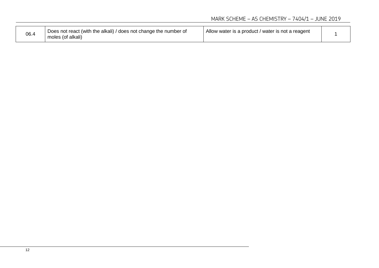| 06.4 | Does not react (with the alkali) / does not change the number of<br>moles (of alkali) | Allow water is a product / water is not a reagent |  |
|------|---------------------------------------------------------------------------------------|---------------------------------------------------|--|
|------|---------------------------------------------------------------------------------------|---------------------------------------------------|--|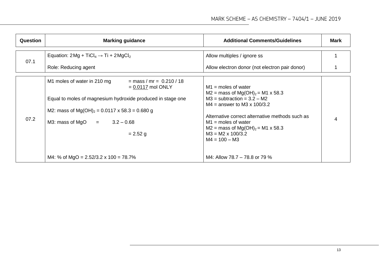| Question | <b>Marking guidance</b>                                                                                                                                                                                                                                                                                   | <b>Additional Comments/Guidelines</b>                                                                                                                                                                                                                                                                                                                     | Mark |
|----------|-----------------------------------------------------------------------------------------------------------------------------------------------------------------------------------------------------------------------------------------------------------------------------------------------------------|-----------------------------------------------------------------------------------------------------------------------------------------------------------------------------------------------------------------------------------------------------------------------------------------------------------------------------------------------------------|------|
| 07.1     | Equation: $2Mg + TiCl_4 \rightarrow Ti + 2MgCl_2$<br>Role: Reducing agent                                                                                                                                                                                                                                 | Allow multiples / ignore ss<br>Allow electron donor (not electron pair donor)                                                                                                                                                                                                                                                                             |      |
| 07.2     | M1 moles of water in 210 mg<br>$=$ mass / mr = 0.210 / 18<br>$= 0.0117$ mol ONLY<br>Equal to moles of magnesium hydroxide produced in stage one<br>M2: mass of $Mg(OH)_2 = 0.0117 \times 58.3 = 0.680 g$<br>M3: mass of MgO $=$ 3.2 - 0.68<br>$= 2.52$ g<br>M4: % of MgO = $2.52/3.2 \times 100 = 78.7\%$ | $M1$ = moles of water<br>$M2$ = mass of Mg(OH) <sub>2</sub> = M1 x 58.3<br>$M3$ = subtraction = $3.2 - M2$<br>$M4$ = answer to M3 x 100/3.2<br>Alternative correct alternative methods such as<br>$M1$ = moles of water<br>$M2$ = mass of Mg(OH) <sub>2</sub> = M1 x 58.3<br>$M3 = M2 \times 100/3.2$<br>$M4 = 100 - M3$<br>M4: Allow 78.7 – 78.8 or 79 % | 4    |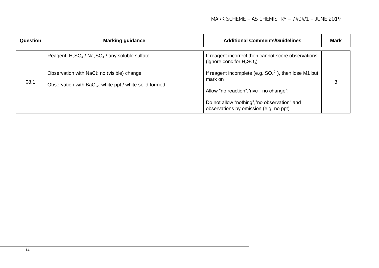| Question | <b>Marking guidance</b>                                                                                           | <b>Additional Comments/Guidelines</b>                                                  | <b>Mark</b> |
|----------|-------------------------------------------------------------------------------------------------------------------|----------------------------------------------------------------------------------------|-------------|
|          | Reagent: $H_2SO_4$ / $Na_2SO_4$ / any soluble sulfate                                                             | If reagent incorrect then cannot score observations<br>(ignore conc for $H_2SO_4$ )    |             |
| 08.1     | Observation with NaCl: no (visible) change<br>Observation with BaCl <sub>2</sub> : white ppt / white solid formed | If reagent incomplete (e.g. $SO_4^2$ ), then lose M1 but<br>mark on                    |             |
|          |                                                                                                                   | Allow "no reaction","nvc","no change";                                                 |             |
|          |                                                                                                                   | Do not allow "nothing", "no observation" and<br>observations by omission (e.g. no ppt) |             |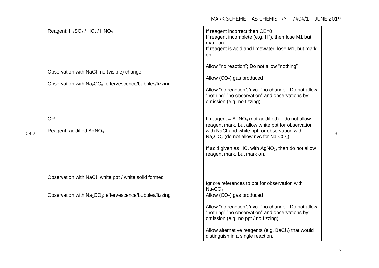|      | Reagent: $H_2SO_4$ / HCl / HNO <sub>3</sub><br>Observation with NaCl: no (visible) change<br>Observation with Na <sub>2</sub> CO <sub>3</sub> : effervescence/bubbles/fizzing | If reagent incorrect then CE=0<br>If reagent incomplete (e.g. $H^+$ ), then lose M1 but<br>mark on.<br>If reagent is acid and limewater, lose M1, but mark<br>on.<br>Allow "no reaction"; Do not allow "nothing"<br>Allow $(CO_2)$ gas produced<br>Allow "no reaction","nvc","no change"; Do not allow<br>"nothing","no observation" and observations by<br>omission (e.g. no fizzing) |   |
|------|-------------------------------------------------------------------------------------------------------------------------------------------------------------------------------|----------------------------------------------------------------------------------------------------------------------------------------------------------------------------------------------------------------------------------------------------------------------------------------------------------------------------------------------------------------------------------------|---|
| 08.2 | <b>OR</b><br>Reagent: acidified AgNO <sub>3</sub>                                                                                                                             | If reagent = $AgNO3$ (not acidified) – do not allow<br>reagent mark, but allow white ppt for observation<br>with NaCl and white ppt for observation with<br>$Na2CO3$ (do not allow nvc for $Na2CO3$ )<br>If acid given as HCl with AgNO <sub>3</sub> , then do not allow<br>reagent mark, but mark on.                                                                                 | 3 |
|      | Observation with NaCl: white ppt / white solid formed<br>Observation with Na <sub>2</sub> CO <sub>3</sub> : effervescence/bubbles/fizzing                                     | Ignore references to ppt for observation with<br>Na <sub>2</sub> CO <sub>3</sub><br>Allow $(CO2)$ gas produced<br>Allow "no reaction","nvc","no change"; Do not allow<br>"nothing","no observation" and observations by<br>omission (e.g. no ppt / no fizzing)<br>Allow alternative reagents (e.g. $BaCl2$ ) that would<br>distinguish in a single reaction.                           |   |